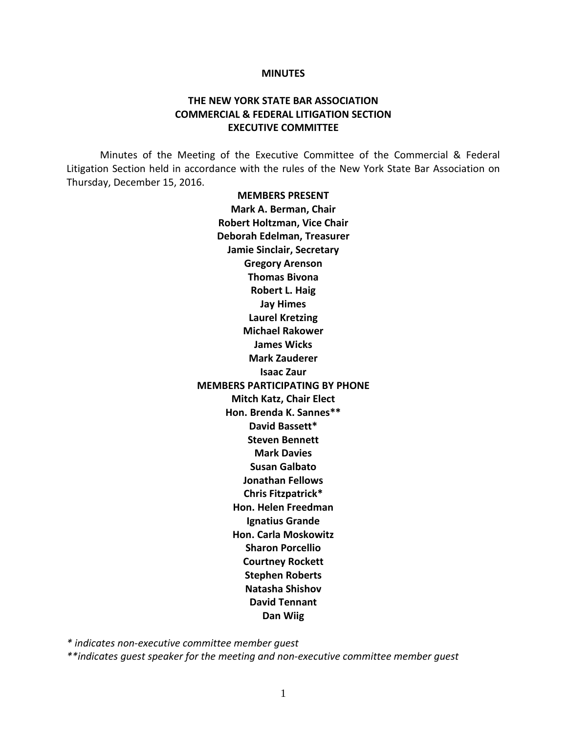#### **MINUTES**

## **THE NEW YORK STATE BAR ASSOCIATION COMMERCIAL & FEDERAL LITIGATION SECTION EXECUTIVE COMMITTEE**

Minutes of the Meeting of the Executive Committee of the Commercial & Federal Litigation Section held in accordance with the rules of the New York State Bar Association on Thursday, December 15, 2016.

> **MEMBERS PRESENT Mark A. Berman, Chair Robert Holtzman, Vice Chair Deborah Edelman, Treasurer Jamie Sinclair, Secretary Gregory Arenson Thomas Bivona Robert L. Haig Jay Himes Laurel Kretzing Michael Rakower James Wicks Mark Zauderer Isaac Zaur MEMBERS PARTICIPATING BY PHONE Mitch Katz, Chair Elect Hon. Brenda K. Sannes\*\* David Bassett\* Steven Bennett Mark Davies Susan Galbato Jonathan Fellows Chris Fitzpatrick\* Hon. Helen Freedman Ignatius Grande Hon. Carla Moskowitz Sharon Porcellio Courtney Rockett Stephen Roberts Natasha Shishov David Tennant Dan Wiig**

*\* indicates non-executive committee member guest*

*\*\*indicates guest speaker for the meeting and non-executive committee member guest*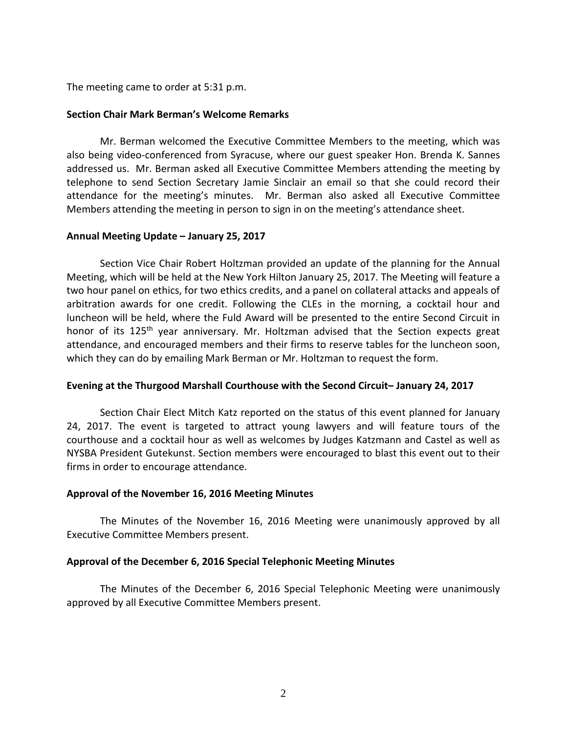The meeting came to order at 5:31 p.m.

#### **Section Chair Mark Berman's Welcome Remarks**

Mr. Berman welcomed the Executive Committee Members to the meeting, which was also being video-conferenced from Syracuse, where our guest speaker Hon. Brenda K. Sannes addressed us. Mr. Berman asked all Executive Committee Members attending the meeting by telephone to send Section Secretary Jamie Sinclair an email so that she could record their attendance for the meeting's minutes. Mr. Berman also asked all Executive Committee Members attending the meeting in person to sign in on the meeting's attendance sheet.

#### **Annual Meeting Update – January 25, 2017**

Section Vice Chair Robert Holtzman provided an update of the planning for the Annual Meeting, which will be held at the New York Hilton January 25, 2017. The Meeting will feature a two hour panel on ethics, for two ethics credits, and a panel on collateral attacks and appeals of arbitration awards for one credit. Following the CLEs in the morning, a cocktail hour and luncheon will be held, where the Fuld Award will be presented to the entire Second Circuit in honor of its 125<sup>th</sup> year anniversary. Mr. Holtzman advised that the Section expects great attendance, and encouraged members and their firms to reserve tables for the luncheon soon, which they can do by emailing Mark Berman or Mr. Holtzman to request the form.

### **Evening at the Thurgood Marshall Courthouse with the Second Circuit– January 24, 2017**

Section Chair Elect Mitch Katz reported on the status of this event planned for January 24, 2017. The event is targeted to attract young lawyers and will feature tours of the courthouse and a cocktail hour as well as welcomes by Judges Katzmann and Castel as well as NYSBA President Gutekunst. Section members were encouraged to blast this event out to their firms in order to encourage attendance.

### **Approval of the November 16, 2016 Meeting Minutes**

The Minutes of the November 16, 2016 Meeting were unanimously approved by all Executive Committee Members present.

### **Approval of the December 6, 2016 Special Telephonic Meeting Minutes**

The Minutes of the December 6, 2016 Special Telephonic Meeting were unanimously approved by all Executive Committee Members present.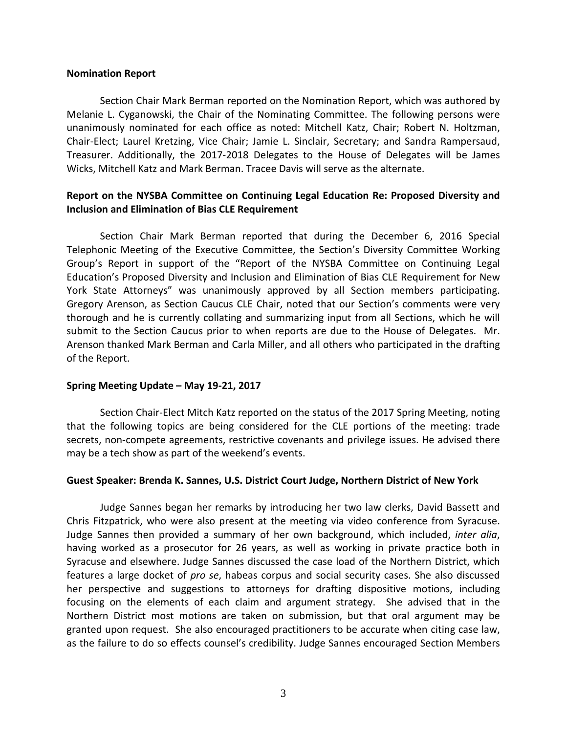#### **Nomination Report**

Section Chair Mark Berman reported on the Nomination Report, which was authored by Melanie L. Cyganowski, the Chair of the Nominating Committee. The following persons were unanimously nominated for each office as noted: Mitchell Katz, Chair; Robert N. Holtzman, Chair-Elect; Laurel Kretzing, Vice Chair; Jamie L. Sinclair, Secretary; and Sandra Rampersaud, Treasurer. Additionally, the 2017-2018 Delegates to the House of Delegates will be James Wicks, Mitchell Katz and Mark Berman. Tracee Davis will serve as the alternate.

## **Report on the NYSBA Committee on Continuing Legal Education Re: Proposed Diversity and Inclusion and Elimination of Bias CLE Requirement**

Section Chair Mark Berman reported that during the December 6, 2016 Special Telephonic Meeting of the Executive Committee, the Section's Diversity Committee Working Group's Report in support of the "Report of the NYSBA Committee on Continuing Legal Education's Proposed Diversity and Inclusion and Elimination of Bias CLE Requirement for New York State Attorneys" was unanimously approved by all Section members participating. Gregory Arenson, as Section Caucus CLE Chair, noted that our Section's comments were very thorough and he is currently collating and summarizing input from all Sections, which he will submit to the Section Caucus prior to when reports are due to the House of Delegates. Mr. Arenson thanked Mark Berman and Carla Miller, and all others who participated in the drafting of the Report.

### **Spring Meeting Update – May 19-21, 2017**

Section Chair-Elect Mitch Katz reported on the status of the 2017 Spring Meeting, noting that the following topics are being considered for the CLE portions of the meeting: trade secrets, non-compete agreements, restrictive covenants and privilege issues. He advised there may be a tech show as part of the weekend's events.

### **Guest Speaker: Brenda K. Sannes, U.S. District Court Judge, Northern District of New York**

Judge Sannes began her remarks by introducing her two law clerks, David Bassett and Chris Fitzpatrick, who were also present at the meeting via video conference from Syracuse. Judge Sannes then provided a summary of her own background, which included, *inter alia*, having worked as a prosecutor for 26 years, as well as working in private practice both in Syracuse and elsewhere. Judge Sannes discussed the case load of the Northern District, which features a large docket of *pro se*, habeas corpus and social security cases. She also discussed her perspective and suggestions to attorneys for drafting dispositive motions, including focusing on the elements of each claim and argument strategy. She advised that in the Northern District most motions are taken on submission, but that oral argument may be granted upon request. She also encouraged practitioners to be accurate when citing case law, as the failure to do so effects counsel's credibility. Judge Sannes encouraged Section Members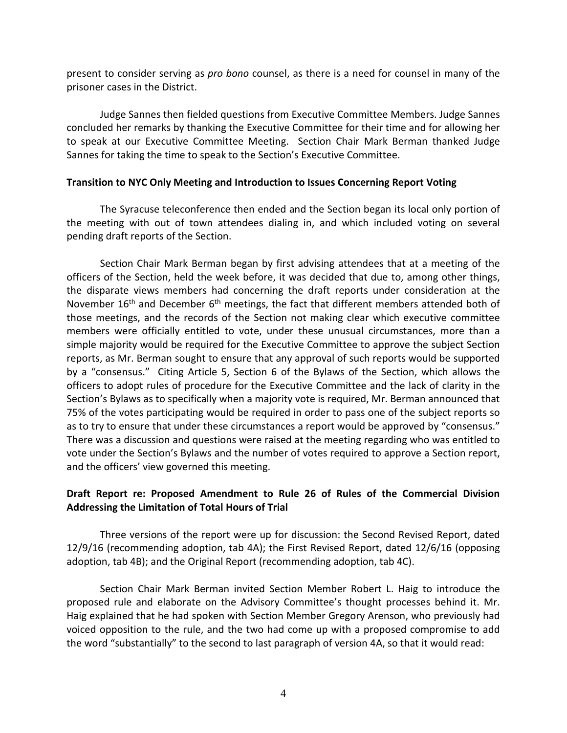present to consider serving as *pro bono* counsel, as there is a need for counsel in many of the prisoner cases in the District.

Judge Sannes then fielded questions from Executive Committee Members. Judge Sannes concluded her remarks by thanking the Executive Committee for their time and for allowing her to speak at our Executive Committee Meeting. Section Chair Mark Berman thanked Judge Sannes for taking the time to speak to the Section's Executive Committee.

#### **Transition to NYC Only Meeting and Introduction to Issues Concerning Report Voting**

The Syracuse teleconference then ended and the Section began its local only portion of the meeting with out of town attendees dialing in, and which included voting on several pending draft reports of the Section.

Section Chair Mark Berman began by first advising attendees that at a meeting of the officers of the Section, held the week before, it was decided that due to, among other things, the disparate views members had concerning the draft reports under consideration at the November  $16<sup>th</sup>$  and December  $6<sup>th</sup>$  meetings, the fact that different members attended both of those meetings, and the records of the Section not making clear which executive committee members were officially entitled to vote, under these unusual circumstances, more than a simple majority would be required for the Executive Committee to approve the subject Section reports, as Mr. Berman sought to ensure that any approval of such reports would be supported by a "consensus." Citing Article 5, Section 6 of the Bylaws of the Section, which allows the officers to adopt rules of procedure for the Executive Committee and the lack of clarity in the Section's Bylaws as to specifically when a majority vote is required, Mr. Berman announced that 75% of the votes participating would be required in order to pass one of the subject reports so as to try to ensure that under these circumstances a report would be approved by "consensus." There was a discussion and questions were raised at the meeting regarding who was entitled to vote under the Section's Bylaws and the number of votes required to approve a Section report, and the officers' view governed this meeting.

# **Draft Report re: Proposed Amendment to Rule 26 of Rules of the Commercial Division Addressing the Limitation of Total Hours of Trial**

Three versions of the report were up for discussion: the Second Revised Report, dated 12/9/16 (recommending adoption, tab 4A); the First Revised Report, dated 12/6/16 (opposing adoption, tab 4B); and the Original Report (recommending adoption, tab 4C).

Section Chair Mark Berman invited Section Member Robert L. Haig to introduce the proposed rule and elaborate on the Advisory Committee's thought processes behind it. Mr. Haig explained that he had spoken with Section Member Gregory Arenson, who previously had voiced opposition to the rule, and the two had come up with a proposed compromise to add the word "substantially" to the second to last paragraph of version 4A, so that it would read: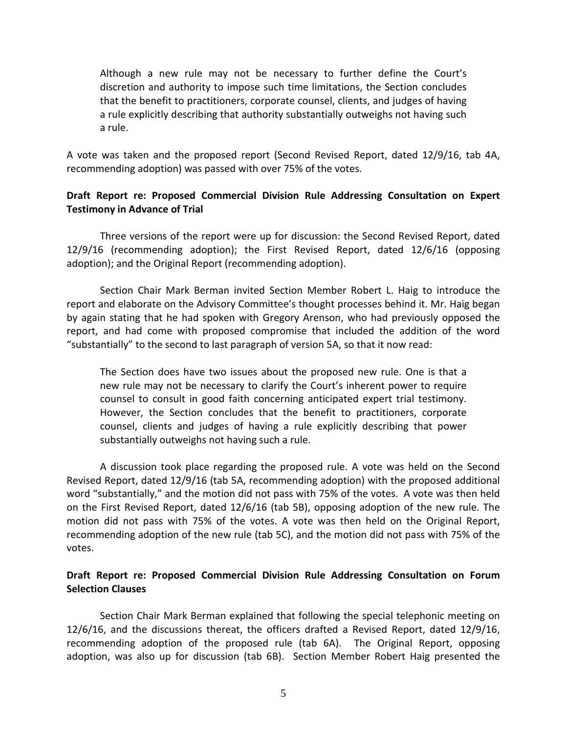Although a new rule may not be necessary to further define the Court's discretion and authority to impose such time limitations, the Section concludes that the benefit to practitioners, corporate counsel, clients, and judges of having a rule explicitly describing that authority substantially outweighs not having such a rule.

A vote was taken and the proposed report (Second Revised Report, dated 12/9/16, tab 4A, recommending adoption) was passed with over 75% of the votes.

# **Draft Report re: Proposed Commercial Division Rule Addressing Consultation on Expert Testimony in Advance of Trial**

Three versions of the report were up for discussion: the Second Revised Report, dated 12/9/16 (recommending adoption); the First Revised Report, dated 12/6/16 (opposing adoption); and the Original Report (recommending adoption).

Section Chair Mark Berman invited Section Member Robert L. Haig to introduce the report and elaborate on the Advisory Committee's thought processes behind it. Mr. Haig began by again stating that he had spoken with Gregory Arenson, who had previously opposed the report, and had come with proposed compromise that included the addition of the word "substantially" to the second to last paragraph of version 5A, so that it now read:

The Section does have two issues about the proposed new rule. One is that a new rule may not be necessary to clarify the Court's inherent power to require counsel to consult in good faith concerning anticipated expert trial testimony. However, the Section concludes that the benefit to practitioners, corporate counsel, clients and judges of having a rule explicitly describing that power substantially outweighs not having such a rule.

A discussion took place regarding the proposed rule. A vote was held on the Second Revised Report, dated 12/9/16 (tab 5A, recommending adoption) with the proposed additional word "substantially," and the motion did not pass with 75% of the votes. A vote was then held on the First Revised Report, dated 12/6/16 (tab 5B), opposing adoption of the new rule. The motion did not pass with 75% of the votes. A vote was then held on the Original Report, recommending adoption of the new rule (tab 5C), and the motion did not pass with 75% of the votes.

## **Draft Report re: Proposed Commercial Division Rule Addressing Consultation on Forum Selection Clauses**

Section Chair Mark Berman explained that following the special telephonic meeting on 12/6/16, and the discussions thereat, the officers drafted a Revised Report, dated 12/9/16, recommending adoption of the proposed rule (tab 6A). The Original Report, opposing adoption, was also up for discussion (tab 6B). Section Member Robert Haig presented the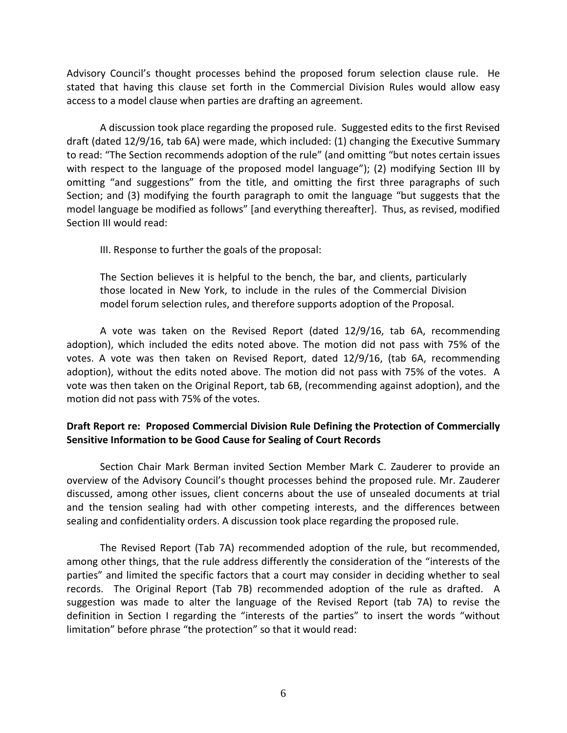Advisory Council's thought processes behind the proposed forum selection clause rule. He stated that having this clause set forth in the Commercial Division Rules would allow easy access to a model clause when parties are drafting an agreement.

A discussion took place regarding the proposed rule. Suggested edits to the first Revised draft (dated 12/9/16, tab 6A) were made, which included: (1) changing the Executive Summary to read: "The Section recommends adoption of the rule" (and omitting "but notes certain issues with respect to the language of the proposed model language"); (2) modifying Section III by omitting "and suggestions" from the title, and omitting the first three paragraphs of such Section; and (3) modifying the fourth paragraph to omit the language "but suggests that the model language be modified as follows" [and everything thereafter]. Thus, as revised, modified Section III would read:

III. Response to further the goals of the proposal:

The Section believes it is helpful to the bench, the bar, and clients, particularly those located in New York, to include in the rules of the Commercial Division model forum selection rules, and therefore supports adoption of the Proposal.

A vote was taken on the Revised Report (dated 12/9/16, tab 6A, recommending adoption), which included the edits noted above. The motion did not pass with 75% of the votes. A vote was then taken on Revised Report, dated 12/9/16, (tab 6A, recommending adoption), without the edits noted above. The motion did not pass with 75% of the votes. A vote was then taken on the Original Report, tab 6B, (recommending against adoption), and the motion did not pass with 75% of the votes.

# **Draft Report re: Proposed Commercial Division Rule Defining the Protection of Commercially Sensitive Information to be Good Cause for Sealing of Court Records**

Section Chair Mark Berman invited Section Member Mark C. Zauderer to provide an overview of the Advisory Council's thought processes behind the proposed rule. Mr. Zauderer discussed, among other issues, client concerns about the use of unsealed documents at trial and the tension sealing had with other competing interests, and the differences between sealing and confidentiality orders. A discussion took place regarding the proposed rule.

The Revised Report (Tab 7A) recommended adoption of the rule, but recommended, among other things, that the rule address differently the consideration of the "interests of the parties" and limited the specific factors that a court may consider in deciding whether to seal records. The Original Report (Tab 7B) recommended adoption of the rule as drafted. A suggestion was made to alter the language of the Revised Report (tab 7A) to revise the definition in Section I regarding the "interests of the parties" to insert the words "without limitation" before phrase "the protection" so that it would read: